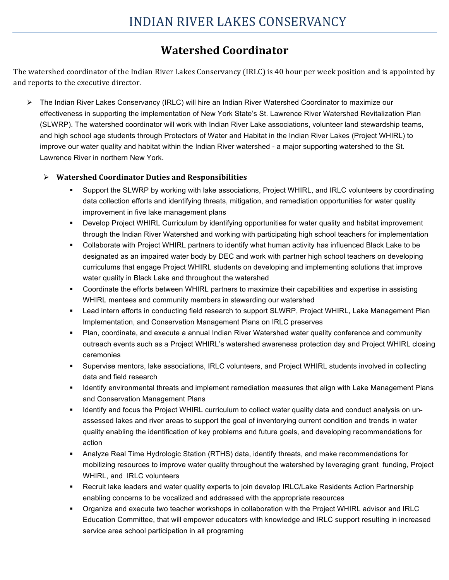## **Watershed Coordinator**

The watershed coordinator of the Indian River Lakes Conservancy (IRLC) is 40 hour per week position and is appointed by and reports to the executive director.

! The Indian River Lakes Conservancy (IRLC) will hire an Indian River Watershed Coordinator to maximize our effectiveness in supporting the implementation of New York State's St. Lawrence River Watershed Revitalization Plan (SLWRP). The watershed coordinator will work with Indian River Lake associations, volunteer land stewardship teams, and high school age students through Protectors of Water and Habitat in the Indian River Lakes (Project WHIRL) to improve our water quality and habitat within the Indian River watershed - a major supporting watershed to the St. Lawrence River in northern New York.

## ! **Watershed Coordinator Duties and Responsibilities**

- Support the SLWRP by working with lake associations, Project WHIRL, and IRLC volunteers by coordinating data collection efforts and identifying threats, mitigation, and remediation opportunities for water quality improvement in five lake management plans
- " Develop Project WHIRL Curriculum by identifying opportunities for water quality and habitat improvement through the Indian River Watershed and working with participating high school teachers for implementation
- " Collaborate with Project WHIRL partners to identify what human activity has influenced Black Lake to be designated as an impaired water body by DEC and work with partner high school teachers on developing curriculums that engage Project WHIRL students on developing and implementing solutions that improve water quality in Black Lake and throughout the watershed
- " Coordinate the efforts between WHIRL partners to maximize their capabilities and expertise in assisting WHIRL mentees and community members in stewarding our watershed
- " Lead intern efforts in conducting field research to support SLWRP, Project WHIRL, Lake Management Plan Implementation, and Conservation Management Plans on IRLC preserves
- Plan, coordinate, and execute a annual Indian River Watershed water quality conference and community outreach events such as a Project WHIRL's watershed awareness protection day and Project WHIRL closing ceremonies
- Supervise mentors, lake associations, IRLC volunteers, and Project WHIRL students involved in collecting data and field research
- Identify environmental threats and implement remediation measures that align with Lake Management Plans and Conservation Management Plans
- Identify and focus the Project WHIRL curriculum to collect water quality data and conduct analysis on unassessed lakes and river areas to support the goal of inventorying current condition and trends in water quality enabling the identification of key problems and future goals, and developing recommendations for action
- Analyze Real Time Hydrologic Station (RTHS) data, identify threats, and make recommendations for mobilizing resources to improve water quality throughout the watershed by leveraging grant funding, Project WHIRL, and IRLC volunteers
- Recruit lake leaders and water quality experts to join develop IRLC/Lake Residents Action Partnership enabling concerns to be vocalized and addressed with the appropriate resources
- " Organize and execute two teacher workshops in collaboration with the Project WHIRL advisor and IRLC Education Committee, that will empower educators with knowledge and IRLC support resulting in increased service area school participation in all programing